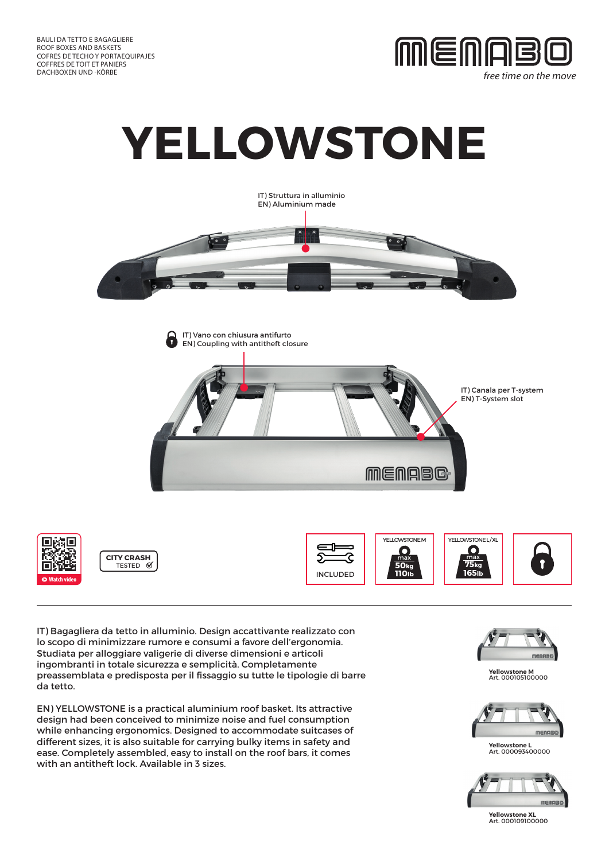

free time on the move









**CITY CRASH** TESTED <sup>0</sup>







IT) Bagagliera da tetto in alluminio. Design accattivante realizzato con lo scopo di minimizzare rumore e consumi a favore dell'ergonomia. Studiata per alloggiare valigerie di diverse dimensioni e articoli ingombranti in totale sicurezza e semplicità. Completamente preassemblata e predisposta per il fissaggio su tutte le tipologie di barre da tetto.

EN) YELLOWSTONE is a practical aluminium roof basket. Its attractive design had been conceived to minimize noise and fuel consumption while enhancing ergonomics. Designed to accommodate suitcases of different sizes, it is also suitable for carrying bulky items in safety and ease. Completely assembled, easy to install on the roof bars, it comes with an antitheft lock. Available in 3 sizes.



**Yellowstone M** Art. 000105100000



**Yellowstone L** Art. 000093400000



**Yellowstone XL** Art. 000109100000